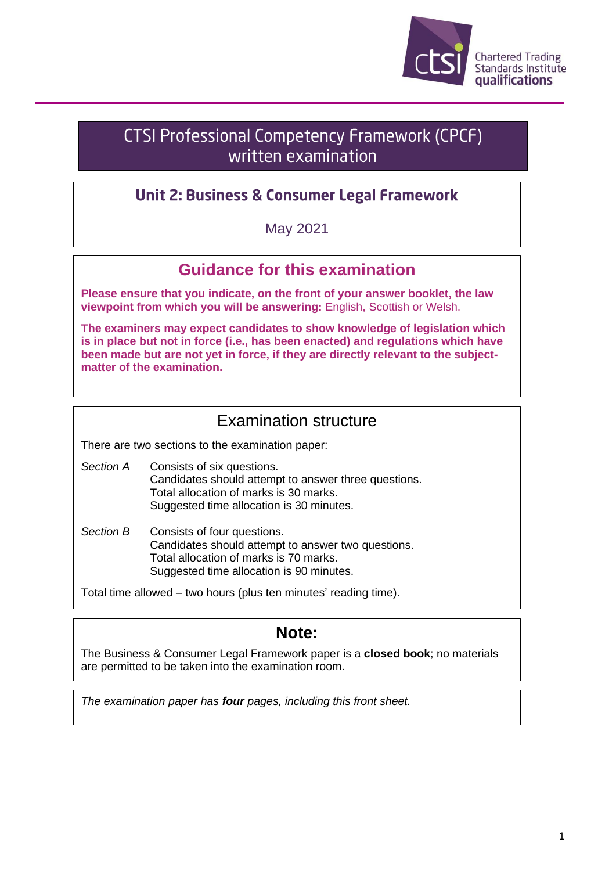

# **CTSI Professional Competency Framework (CPCF)** written examination

## **Unit 2: Business & Consumer Legal Framework**

May 2021

# **Guidance for this examination**

**Please ensure that you indicate, on the front of your answer booklet, the law viewpoint from which you will be answering:** English, Scottish or Welsh.

**The examiners may expect candidates to show knowledge of legislation which is in place but not in force (i.e., has been enacted) and regulations which have been made but are not yet in force, if they are directly relevant to the subjectmatter of the examination.**

## Examination structure

There are two sections to the examination paper:

- *Section A* Consists of six questions. Candidates should attempt to answer three questions. Total allocation of marks is 30 marks. Suggested time allocation is 30 minutes.
- *Section B* Consists of four questions. Candidates should attempt to answer two questions. Total allocation of marks is 70 marks. Suggested time allocation is 90 minutes.

Total time allowed – two hours (plus ten minutes' reading time).

## **Note:**

The Business & Consumer Legal Framework paper is a **closed book**; no materials are permitted to be taken into the examination room.

*The examination paper has four pages, including this front sheet.*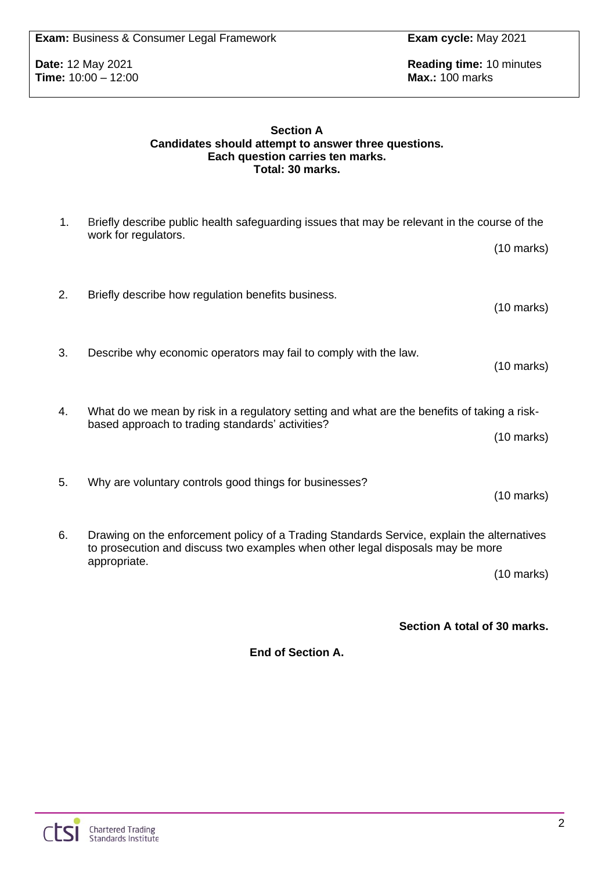**Time:** 10:00 - 12:00

**Date:** 12 May 2021 **Reading time:** 10 minutes **Reading time:** 10 minutes **Time:** 10:00 – 12:00

#### **Section A Candidates should attempt to answer three questions. Each question carries ten marks. Total: 30 marks.**

| 1. | Briefly describe public health safeguarding issues that may be relevant in the course of the<br>work for regulators.                                                         |                      |
|----|------------------------------------------------------------------------------------------------------------------------------------------------------------------------------|----------------------|
|    |                                                                                                                                                                              | $(10 \text{ marks})$ |
| 2. | Briefly describe how regulation benefits business.                                                                                                                           | $(10 \text{ marks})$ |
| 3. | Describe why economic operators may fail to comply with the law.                                                                                                             | $(10 \text{ marks})$ |
| 4. | What do we mean by risk in a regulatory setting and what are the benefits of taking a risk-<br>based approach to trading standards' activities?                              | $(10 \text{ marks})$ |
| 5. | Why are voluntary controls good things for businesses?                                                                                                                       | $(10 \text{ marks})$ |
| 6. | Drawing on the enforcement policy of a Trading Standards Service, explain the alternatives<br>to prosecution and discuss two examples when other legal disposals may be more |                      |
|    | appropriate.                                                                                                                                                                 | $(10 \text{ marks})$ |

**Section A total of 30 marks.**

**End of Section A.**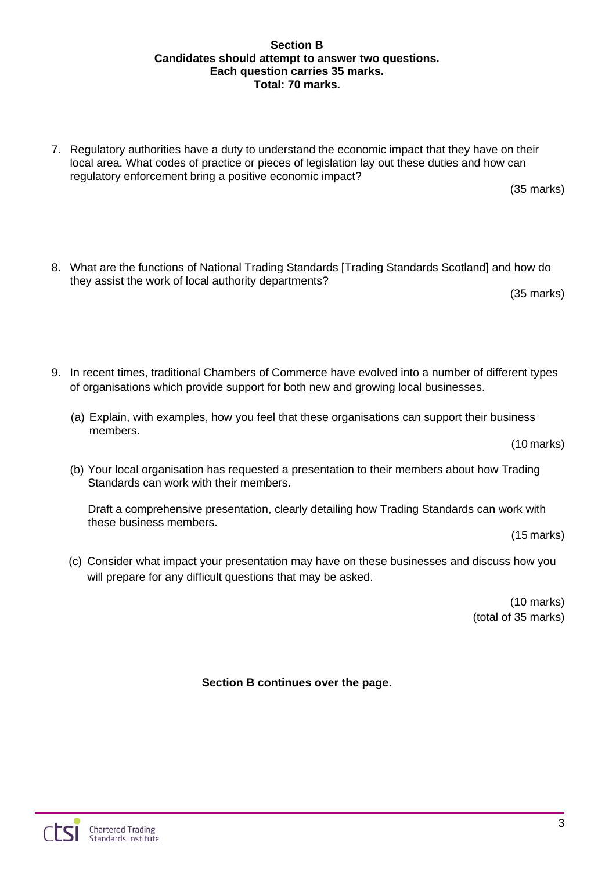### **Section B Candidates should attempt to answer two questions. Each question carries 35 marks. Total: 70 marks.**

7. Regulatory authorities have a duty to understand the economic impact that they have on their local area. What codes of practice or pieces of legislation lay out these duties and how can regulatory enforcement bring a positive economic impact?

(35 marks)

8. What are the functions of National Trading Standards [Trading Standards Scotland] and how do they assist the work of local authority departments?

(35 marks)

- 9. In recent times, traditional Chambers of Commerce have evolved into a number of different types of organisations which provide support for both new and growing local businesses.
	- (a) Explain, with examples, how you feel that these organisations can support their business members.

(10 marks)

(b) Your local organisation has requested a presentation to their members about how Trading Standards can work with their members.

Draft a comprehensive presentation, clearly detailing how Trading Standards can work with these business members.

(15 marks)

(c) Consider what impact your presentation may have on these businesses and discuss how you will prepare for any difficult questions that may be asked.

> (10 marks) (total of 35 marks)

**Section B continues over the page.**